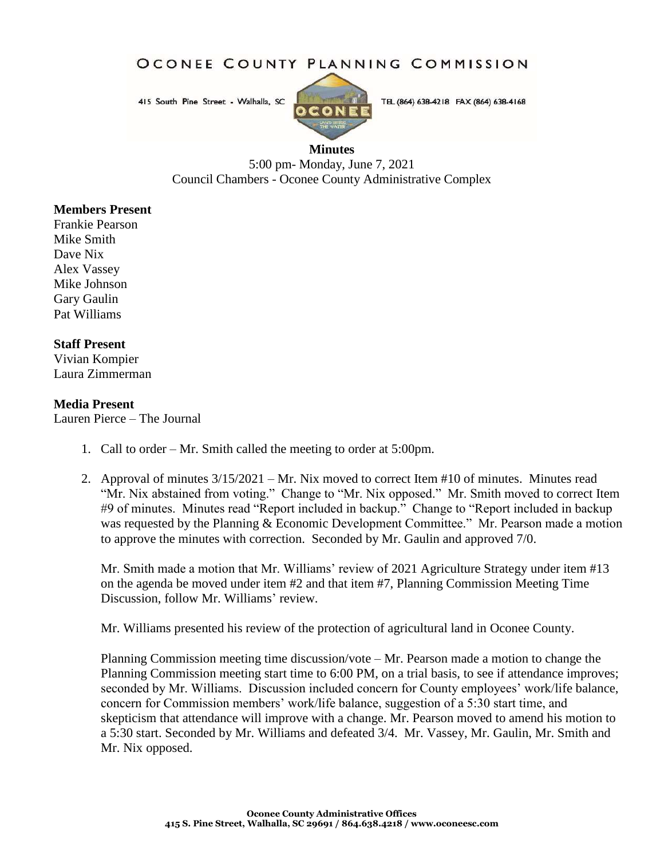OCONEE COUNTY PLANNING COMMISSION

415 South Pine Street - Walhalla, SC



TEL (864) 638-4218 FAX (864) 638-4168

## **Minutes**

5:00 pm- Monday, June 7, 2021 Council Chambers - Oconee County Administrative Complex

## **Members Present**

Frankie Pearson Mike Smith Dave Nix Alex Vassey Mike Johnson Gary Gaulin Pat Williams

## **Staff Present**

Vivian Kompier Laura Zimmerman

## **Media Present**

Lauren Pierce – The Journal

- 1. Call to order Mr. Smith called the meeting to order at 5:00pm.
- 2. Approval of minutes 3/15/2021 Mr. Nix moved to correct Item #10 of minutes. Minutes read "Mr. Nix abstained from voting." Change to "Mr. Nix opposed." Mr. Smith moved to correct Item #9 of minutes. Minutes read "Report included in backup." Change to "Report included in backup was requested by the Planning & Economic Development Committee." Mr. Pearson made a motion to approve the minutes with correction. Seconded by Mr. Gaulin and approved 7/0.

Mr. Smith made a motion that Mr. Williams' review of 2021 Agriculture Strategy under item #13 on the agenda be moved under item #2 and that item #7, Planning Commission Meeting Time Discussion, follow Mr. Williams' review.

Mr. Williams presented his review of the protection of agricultural land in Oconee County.

Planning Commission meeting time discussion/vote – Mr. Pearson made a motion to change the Planning Commission meeting start time to 6:00 PM, on a trial basis, to see if attendance improves; seconded by Mr. Williams. Discussion included concern for County employees' work/life balance, concern for Commission members' work/life balance, suggestion of a 5:30 start time, and skepticism that attendance will improve with a change. Mr. Pearson moved to amend his motion to a 5:30 start. Seconded by Mr. Williams and defeated 3/4. Mr. Vassey, Mr. Gaulin, Mr. Smith and Mr. Nix opposed.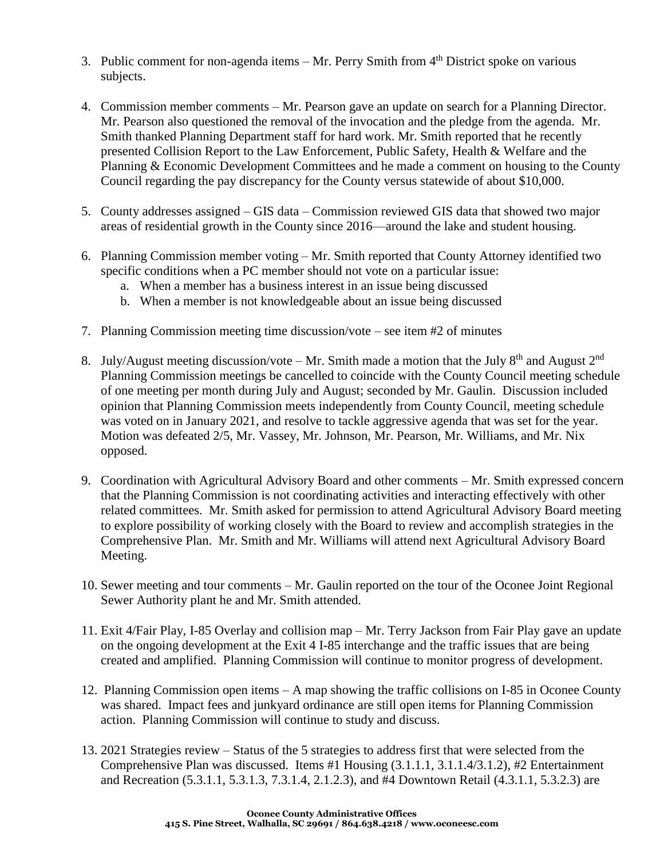- 3. Public comment for non-agenda items Mr. Perry Smith from  $4<sup>th</sup>$  District spoke on various subjects.
- 4. Commission member comments Mr. Pearson gave an update on search for a Planning Director. Mr. Pearson also questioned the removal of the invocation and the pledge from the agenda. Mr. Smith thanked Planning Department staff for hard work. Mr. Smith reported that he recently presented Collision Report to the Law Enforcement, Public Safety, Health & Welfare and the Planning & Economic Development Committees and he made a comment on housing to the County Council regarding the pay discrepancy for the County versus statewide of about \$10,000.
- 5. County addresses assigned GIS data Commission reviewed GIS data that showed two major areas of residential growth in the County since 2016—around the lake and student housing.
- 6. Planning Commission member voting Mr. Smith reported that County Attorney identified two specific conditions when a PC member should not vote on a particular issue:
	- a. When a member has a business interest in an issue being discussed
	- b. When a member is not knowledgeable about an issue being discussed
- 7. Planning Commission meeting time discussion/vote see item #2 of minutes
- 8. July/August meeting discussion/vote Mr. Smith made a motion that the July  $8<sup>th</sup>$  and August  $2<sup>nd</sup>$ Planning Commission meetings be cancelled to coincide with the County Council meeting schedule of one meeting per month during July and August; seconded by Mr. Gaulin. Discussion included opinion that Planning Commission meets independently from County Council, meeting schedule was voted on in January 2021, and resolve to tackle aggressive agenda that was set for the year. Motion was defeated 2/5, Mr. Vassey, Mr. Johnson, Mr. Pearson, Mr. Williams, and Mr. Nix opposed.
- 9. Coordination with Agricultural Advisory Board and other comments Mr. Smith expressed concern that the Planning Commission is not coordinating activities and interacting effectively with other related committees. Mr. Smith asked for permission to attend Agricultural Advisory Board meeting to explore possibility of working closely with the Board to review and accomplish strategies in the Comprehensive Plan. Mr. Smith and Mr. Williams will attend next Agricultural Advisory Board Meeting.
- 10. Sewer meeting and tour comments Mr. Gaulin reported on the tour of the Oconee Joint Regional Sewer Authority plant he and Mr. Smith attended.
- 11. Exit 4/Fair Play, I-85 Overlay and collision map Mr. Terry Jackson from Fair Play gave an update on the ongoing development at the Exit 4 I-85 interchange and the traffic issues that are being created and amplified. Planning Commission will continue to monitor progress of development.
- 12. Planning Commission open items A map showing the traffic collisions on I-85 in Oconee County was shared. Impact fees and junkyard ordinance are still open items for Planning Commission action. Planning Commission will continue to study and discuss.
- 13. 2021 Strategies review Status of the 5 strategies to address first that were selected from the Comprehensive Plan was discussed. Items #1 Housing (3.1.1.1, 3.1.1.4/3.1.2), #2 Entertainment and Recreation (5.3.1.1, 5.3.1.3, 7.3.1.4, 2.1.2.3), and #4 Downtown Retail (4.3.1.1, 5.3.2.3) are